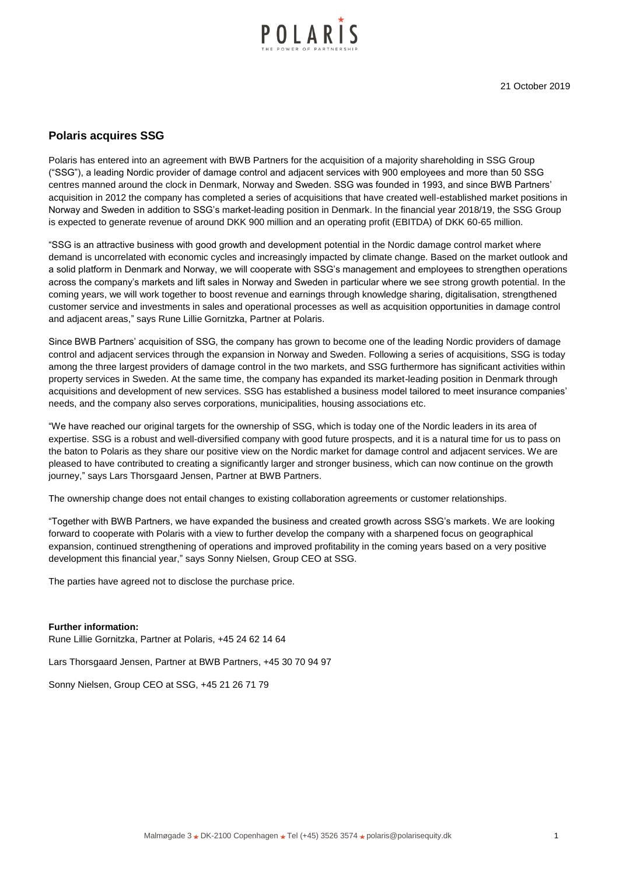

# **Polaris acquires SSG**

Polaris has entered into an agreement with BWB Partners for the acquisition of a majority shareholding in SSG Group ("SSG"), a leading Nordic provider of damage control and adjacent services with 900 employees and more than 50 SSG centres manned around the clock in Denmark, Norway and Sweden. SSG was founded in 1993, and since BWB Partners' acquisition in 2012 the company has completed a series of acquisitions that have created well-established market positions in Norway and Sweden in addition to SSG's market-leading position in Denmark. In the financial year 2018/19, the SSG Group is expected to generate revenue of around DKK 900 million and an operating profit (EBITDA) of DKK 60-65 million.

"SSG is an attractive business with good growth and development potential in the Nordic damage control market where demand is uncorrelated with economic cycles and increasingly impacted by climate change. Based on the market outlook and a solid platform in Denmark and Norway, we will cooperate with SSG's management and employees to strengthen operations across the company's markets and lift sales in Norway and Sweden in particular where we see strong growth potential. In the coming years, we will work together to boost revenue and earnings through knowledge sharing, digitalisation, strengthened customer service and investments in sales and operational processes as well as acquisition opportunities in damage control and adjacent areas," says Rune Lillie Gornitzka, Partner at Polaris.

Since BWB Partners' acquisition of SSG, the company has grown to become one of the leading Nordic providers of damage control and adjacent services through the expansion in Norway and Sweden. Following a series of acquisitions, SSG is today among the three largest providers of damage control in the two markets, and SSG furthermore has significant activities within property services in Sweden. At the same time, the company has expanded its market-leading position in Denmark through acquisitions and development of new services. SSG has established a business model tailored to meet insurance companies' needs, and the company also serves corporations, municipalities, housing associations etc.

"We have reached our original targets for the ownership of SSG, which is today one of the Nordic leaders in its area of expertise. SSG is a robust and well-diversified company with good future prospects, and it is a natural time for us to pass on the baton to Polaris as they share our positive view on the Nordic market for damage control and adjacent services. We are pleased to have contributed to creating a significantly larger and stronger business, which can now continue on the growth journey," says Lars Thorsgaard Jensen, Partner at BWB Partners.

The ownership change does not entail changes to existing collaboration agreements or customer relationships.

"Together with BWB Partners, we have expanded the business and created growth across SSG's markets. We are looking forward to cooperate with Polaris with a view to further develop the company with a sharpened focus on geographical expansion, continued strengthening of operations and improved profitability in the coming years based on a very positive development this financial year," says Sonny Nielsen, Group CEO at SSG.

The parties have agreed not to disclose the purchase price.

## **Further information:**

Rune Lillie Gornitzka, Partner at Polaris, +45 24 62 14 64

Lars Thorsgaard Jensen, Partner at BWB Partners, +45 30 70 94 97

Sonny Nielsen, Group CEO at SSG, +45 21 26 71 79